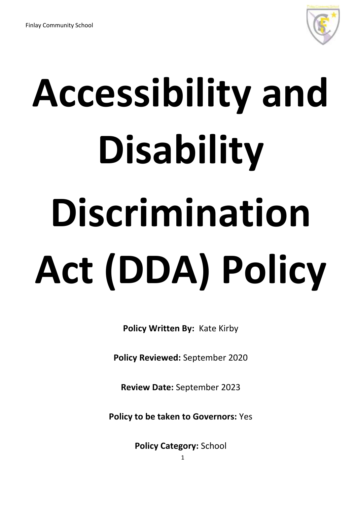

# **Accessibility and Disability Discrimination Act (DDA) Policy**

**Policy Written By:** Kate Kirby

**Policy Reviewed:** September 2020

**Review Date:** September 2023

**Policy to be taken to Governors:** Yes

**Policy Category:** School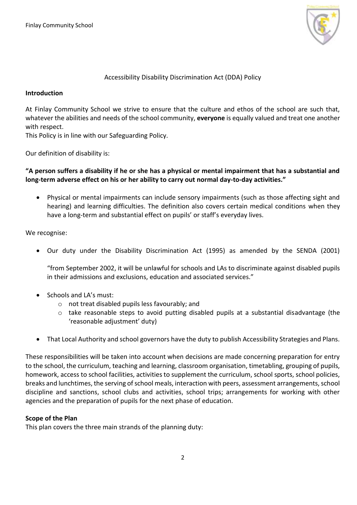

# Accessibility Disability Discrimination Act (DDA) Policy

### **Introduction**

At Finlay Community School we strive to ensure that the culture and ethos of the school are such that, whatever the abilities and needs of the school community, **everyone** is equally valued and treat one another with respect.

This Policy is in line with our Safeguarding Policy.

Our definition of disability is:

**"A person suffers a disability if he or she has a physical or mental impairment that has a substantial and long-term adverse effect on his or her ability to carry out normal day-to-day activities."**

 Physical or mental impairments can include sensory impairments (such as those affecting sight and hearing) and learning difficulties. The definition also covers certain medical conditions when they have a long-term and substantial effect on pupils' or staff's everyday lives.

### We recognise:

Our duty under the Disability Discrimination Act (1995) as amended by the SENDA (2001)

"from September 2002, it will be unlawful for schools and LAs to discriminate against disabled pupils in their admissions and exclusions, education and associated services."

- $\bullet$  Schools and LA's must:
	- o not treat disabled pupils less favourably; and
	- $\circ$  take reasonable steps to avoid putting disabled pupils at a substantial disadvantage (the 'reasonable adjustment' duty)
- That Local Authority and school governors have the duty to publish Accessibility Strategies and Plans.

These responsibilities will be taken into account when decisions are made concerning preparation for entry to the school, the curriculum, teaching and learning, classroom organisation, timetabling, grouping of pupils, homework, access to school facilities, activities to supplement the curriculum, school sports, school policies, breaks and lunchtimes, the serving of school meals, interaction with peers, assessment arrangements, school discipline and sanctions, school clubs and activities, school trips; arrangements for working with other agencies and the preparation of pupils for the next phase of education.

### **Scope of the Plan**

This plan covers the three main strands of the planning duty: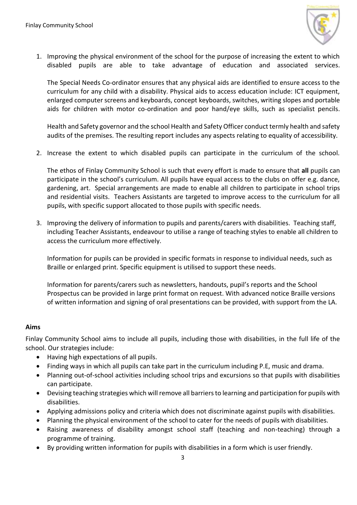

1. Improving the physical environment of the school for the purpose of increasing the extent to which disabled pupils are able to take advantage of education and associated services.

The Special Needs Co-ordinator ensures that any physical aids are identified to ensure access to the curriculum for any child with a disability. Physical aids to access education include: ICT equipment, enlarged computer screens and keyboards, concept keyboards, switches, writing slopes and portable aids for children with motor co-ordination and poor hand/eye skills, such as specialist pencils.

Health and Safety governor and the school Health and Safety Officer conduct termly health and safety audits of the premises. The resulting report includes any aspects relating to equality of accessibility.

2. Increase the extent to which disabled pupils can participate in the curriculum of the school.

The ethos of Finlay Community School is such that every effort is made to ensure that **all** pupils can participate in the school's curriculum. All pupils have equal access to the clubs on offer e.g. dance, gardening, art. Special arrangements are made to enable all children to participate in school trips and residential visits. Teachers Assistants are targeted to improve access to the curriculum for all pupils, with specific support allocated to those pupils with specific needs.

3. Improving the delivery of information to pupils and parents/carers with disabilities. Teaching staff, including Teacher Assistants, endeavour to utilise a range of teaching styles to enable all children to access the curriculum more effectively.

Information for pupils can be provided in specific formats in response to individual needs, such as Braille or enlarged print. Specific equipment is utilised to support these needs.

Information for parents/carers such as newsletters, handouts, pupil's reports and the School Prospectus can be provided in large print format on request. With advanced notice Braille versions of written information and signing of oral presentations can be provided, with support from the LA.

### **Aims**

Finlay Community School aims to include all pupils, including those with disabilities, in the full life of the school. Our strategies include:

- Having high expectations of all pupils.
- Finding ways in which all pupils can take part in the curriculum including P.E, music and drama.
- Planning out-of-school activities including school trips and excursions so that pupils with disabilities can participate.
- Devising teaching strategies which will remove all barriers to learning and participation for pupils with disabilities.
- Applying admissions policy and criteria which does not discriminate against pupils with disabilities.
- Planning the physical environment of the school to cater for the needs of pupils with disabilities.
- Raising awareness of disability amongst school staff (teaching and non-teaching) through a programme of training.
- By providing written information for pupils with disabilities in a form which is user friendly.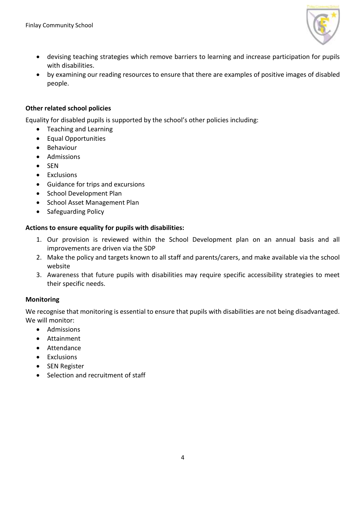

- devising teaching strategies which remove barriers to learning and increase participation for pupils with disabilities.
- by examining our reading resources to ensure that there are examples of positive images of disabled people.

# **Other related school policies**

Equality for disabled pupils is supported by the school's other policies including:

- Teaching and Learning
- Equal Opportunities
- Behaviour
- Admissions
- $\bullet$  SEN
- Exclusions
- Guidance for trips and excursions
- School Development Plan
- School Asset Management Plan
- Safeguarding Policy

# **Actions to ensure equality for pupils with disabilities:**

- 1. Our provision is reviewed within the School Development plan on an annual basis and all improvements are driven via the SDP
- 2. Make the policy and targets known to all staff and parents/carers, and make available via the school website
- 3. Awareness that future pupils with disabilities may require specific accessibility strategies to meet their specific needs.

# **Monitoring**

We recognise that monitoring is essential to ensure that pupils with disabilities are not being disadvantaged. We will monitor:

- Admissions
- Attainment
- Attendance
- **•** Exclusions
- SEN Register
- Selection and recruitment of staff